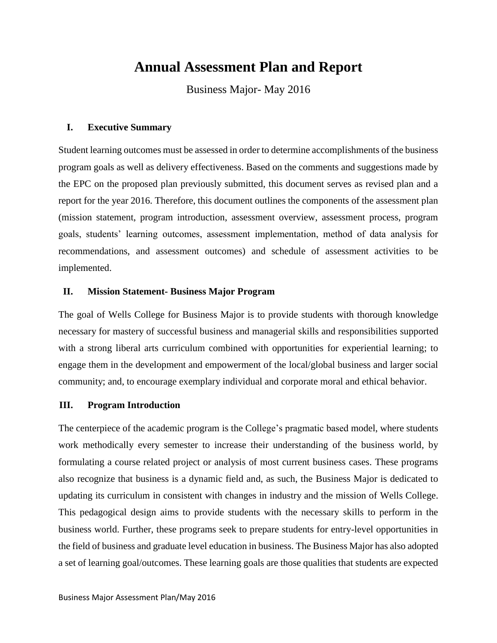# **Annual Assessment Plan and Report**

Business Major- May 2016

# **I. Executive Summary**

Student learning outcomes must be assessed in order to determine accomplishments of the business program goals as well as delivery effectiveness. Based on the comments and suggestions made by the EPC on the proposed plan previously submitted, this document serves as revised plan and a report for the year 2016. Therefore, this document outlines the components of the assessment plan (mission statement, program introduction, assessment overview, assessment process, program goals, students' learning outcomes, assessment implementation, method of data analysis for recommendations, and assessment outcomes) and schedule of assessment activities to be implemented.

# **II. Mission Statement- Business Major Program**

The goal of Wells College for Business Major is to provide students with thorough knowledge necessary for mastery of successful business and managerial skills and responsibilities supported with a strong liberal arts curriculum combined with opportunities for experiential learning; to engage them in the development and empowerment of the local/global business and larger social community; and, to encourage exemplary individual and corporate moral and ethical behavior.

# **III. Program Introduction**

The centerpiece of the academic program is the College's pragmatic based model, where students work methodically every semester to increase their understanding of the business world, by formulating a course related project or analysis of most current business cases. These programs also recognize that business is a dynamic field and, as such, the Business Major is dedicated to updating its curriculum in consistent with changes in industry and the mission of Wells College. This pedagogical design aims to provide students with the necessary skills to perform in the business world. Further, these programs seek to prepare students for entry-level opportunities in the field of business and graduate level education in business. The Business Major has also adopted a set of learning goal/outcomes. These learning goals are those qualities that students are expected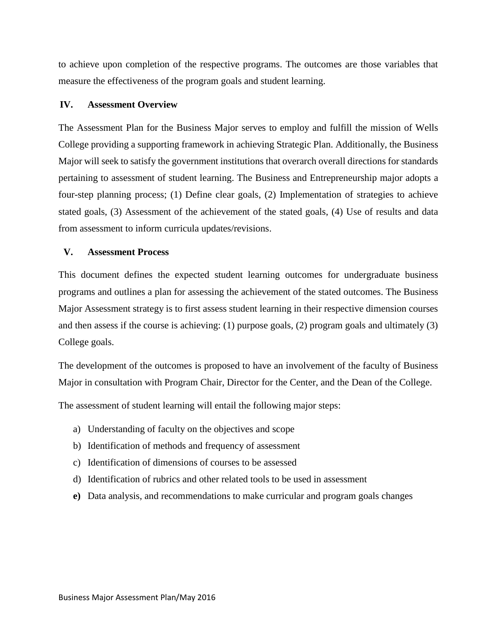to achieve upon completion of the respective programs. The outcomes are those variables that measure the effectiveness of the program goals and student learning.

#### **IV. Assessment Overview**

The Assessment Plan for the Business Major serves to employ and fulfill the mission of Wells College providing a supporting framework in achieving Strategic Plan. Additionally, the Business Major will seek to satisfy the government institutions that overarch overall directions for standards pertaining to assessment of student learning. The Business and Entrepreneurship major adopts a four-step planning process; (1) Define clear goals, (2) Implementation of strategies to achieve stated goals, (3) Assessment of the achievement of the stated goals, (4) Use of results and data from assessment to inform curricula updates/revisions.

#### **V. Assessment Process**

This document defines the expected student learning outcomes for undergraduate business programs and outlines a plan for assessing the achievement of the stated outcomes. The Business Major Assessment strategy is to first assess student learning in their respective dimension courses and then assess if the course is achieving: (1) purpose goals, (2) program goals and ultimately (3) College goals.

The development of the outcomes is proposed to have an involvement of the faculty of Business Major in consultation with Program Chair, Director for the Center, and the Dean of the College.

The assessment of student learning will entail the following major steps:

- a) Understanding of faculty on the objectives and scope
- b) Identification of methods and frequency of assessment
- c) Identification of dimensions of courses to be assessed
- d) Identification of rubrics and other related tools to be used in assessment
- **e)** Data analysis, and recommendations to make curricular and program goals changes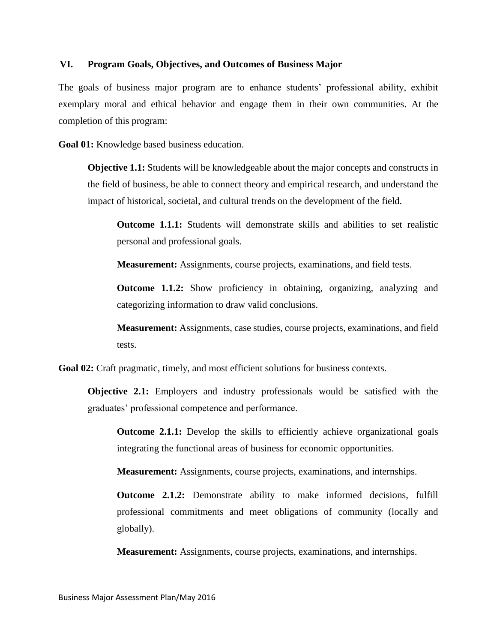#### **VI. Program Goals, Objectives, and Outcomes of Business Major**

The goals of business major program are to enhance students' professional ability, exhibit exemplary moral and ethical behavior and engage them in their own communities. At the completion of this program:

**Goal 01:** Knowledge based business education.

**Objective 1.1:** Students will be knowledgeable about the major concepts and constructs in the field of business, be able to connect theory and empirical research, and understand the impact of historical, societal, and cultural trends on the development of the field.

**Outcome 1.1.1:** Students will demonstrate skills and abilities to set realistic personal and professional goals.

**Measurement:** Assignments, course projects, examinations, and field tests.

**Outcome 1.1.2:** Show proficiency in obtaining, organizing, analyzing and categorizing information to draw valid conclusions.

**Measurement:** Assignments, case studies, course projects, examinations, and field tests.

Goal 02: Craft pragmatic, timely, and most efficient solutions for business contexts.

**Objective 2.1:** Employers and industry professionals would be satisfied with the graduates' professional competence and performance.

**Outcome 2.1.1:** Develop the skills to efficiently achieve organizational goals integrating the functional areas of business for economic opportunities.

**Measurement:** Assignments, course projects, examinations, and internships.

**Outcome 2.1.2:** Demonstrate ability to make informed decisions, fulfill professional commitments and meet obligations of community (locally and globally).

**Measurement:** Assignments, course projects, examinations, and internships.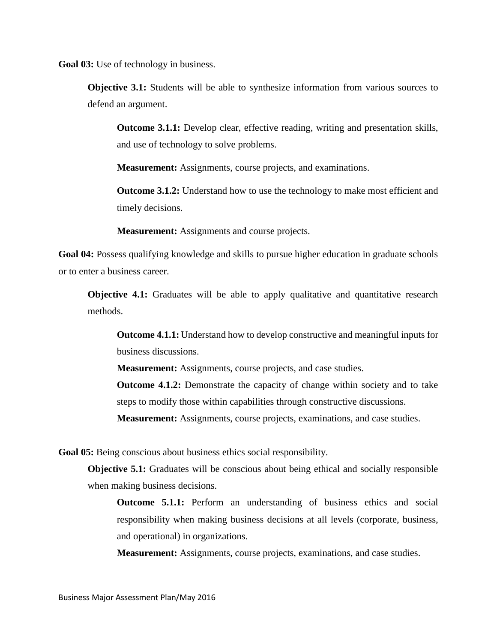**Goal 03:** Use of technology in business.

**Objective 3.1:** Students will be able to synthesize information from various sources to defend an argument.

**Outcome 3.1.1:** Develop clear, effective reading, writing and presentation skills, and use of technology to solve problems.

**Measurement:** Assignments, course projects, and examinations.

**Outcome 3.1.2:** Understand how to use the technology to make most efficient and timely decisions.

**Measurement:** Assignments and course projects.

Goal 04: Possess qualifying knowledge and skills to pursue higher education in graduate schools or to enter a business career.

**Objective 4.1:** Graduates will be able to apply qualitative and quantitative research methods.

**Outcome 4.1.1:** Understand how to develop constructive and meaningful inputs for business discussions.

**Measurement:** Assignments, course projects, and case studies.

**Outcome 4.1.2:** Demonstrate the capacity of change within society and to take steps to modify those within capabilities through constructive discussions.

**Measurement:** Assignments, course projects, examinations, and case studies.

**Goal 05:** Being conscious about business ethics social responsibility.

**Objective 5.1:** Graduates will be conscious about being ethical and socially responsible when making business decisions.

**Outcome 5.1.1:** Perform an understanding of business ethics and social responsibility when making business decisions at all levels (corporate, business, and operational) in organizations.

**Measurement:** Assignments, course projects, examinations, and case studies.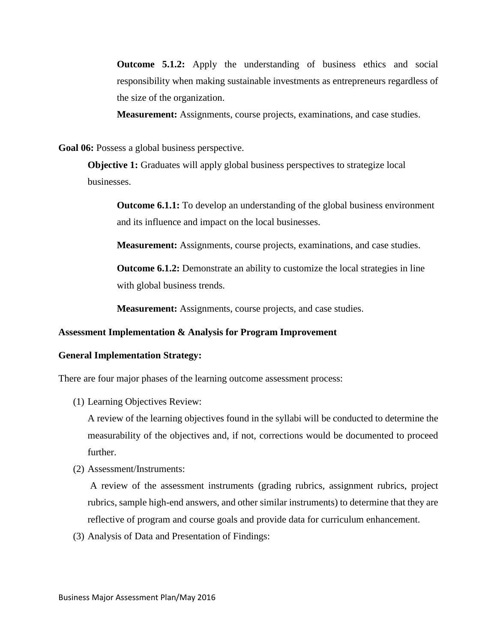**Outcome 5.1.2:** Apply the understanding of business ethics and social responsibility when making sustainable investments as entrepreneurs regardless of the size of the organization.

**Measurement:** Assignments, course projects, examinations, and case studies.

Goal 06: Possess a global business perspective.

**Objective 1:** Graduates will apply global business perspectives to strategize local businesses.

**Outcome 6.1.1:** To develop an understanding of the global business environment and its influence and impact on the local businesses.

**Measurement:** Assignments, course projects, examinations, and case studies.

**Outcome 6.1.2:** Demonstrate an ability to customize the local strategies in line with global business trends.

**Measurement:** Assignments, course projects, and case studies.

#### **Assessment Implementation & Analysis for Program Improvement**

#### **General Implementation Strategy:**

There are four major phases of the learning outcome assessment process:

(1) Learning Objectives Review:

A review of the learning objectives found in the syllabi will be conducted to determine the measurability of the objectives and, if not, corrections would be documented to proceed further.

(2) Assessment/Instruments:

A review of the assessment instruments (grading rubrics, assignment rubrics, project rubrics, sample high-end answers, and other similar instruments) to determine that they are reflective of program and course goals and provide data for curriculum enhancement.

(3) Analysis of Data and Presentation of Findings: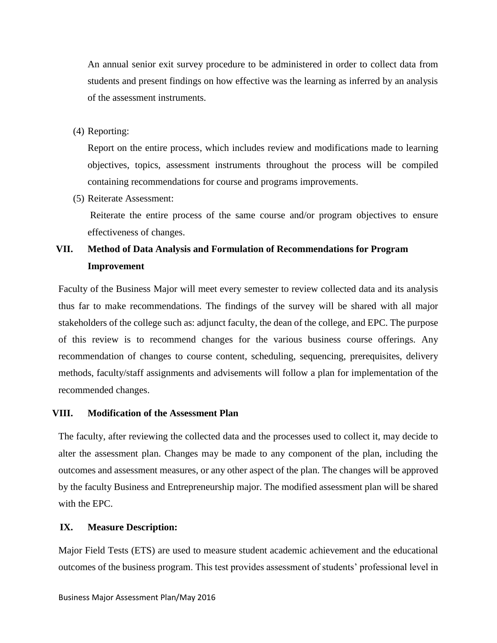An annual senior exit survey procedure to be administered in order to collect data from students and present findings on how effective was the learning as inferred by an analysis of the assessment instruments.

(4) Reporting:

Report on the entire process, which includes review and modifications made to learning objectives, topics, assessment instruments throughout the process will be compiled containing recommendations for course and programs improvements.

(5) Reiterate Assessment:

Reiterate the entire process of the same course and/or program objectives to ensure effectiveness of changes.

# **VII. Method of Data Analysis and Formulation of Recommendations for Program Improvement**

Faculty of the Business Major will meet every semester to review collected data and its analysis thus far to make recommendations. The findings of the survey will be shared with all major stakeholders of the college such as: adjunct faculty, the dean of the college, and EPC. The purpose of this review is to recommend changes for the various business course offerings. Any recommendation of changes to course content, scheduling, sequencing, prerequisites, delivery methods, faculty/staff assignments and advisements will follow a plan for implementation of the recommended changes.

#### **VIII. Modification of the Assessment Plan**

The faculty, after reviewing the collected data and the processes used to collect it, may decide to alter the assessment plan. Changes may be made to any component of the plan, including the outcomes and assessment measures, or any other aspect of the plan. The changes will be approved by the faculty Business and Entrepreneurship major. The modified assessment plan will be shared with the EPC.

## **IX. Measure Description:**

Major Field Tests (ETS) are used to measure student academic achievement and the educational outcomes of the business program. This test provides assessment of students' professional level in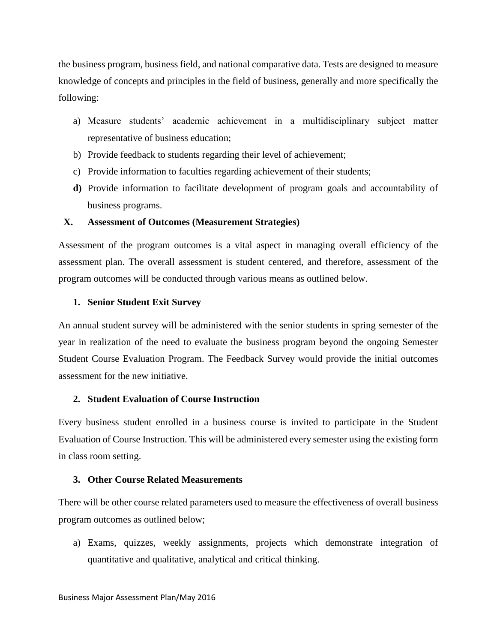the business program, business field, and national comparative data. Tests are designed to measure knowledge of concepts and principles in the field of business, generally and more specifically the following:

- a) Measure students' academic achievement in a multidisciplinary subject matter representative of business education;
- b) Provide feedback to students regarding their level of achievement;
- c) Provide information to faculties regarding achievement of their students;
- **d)** Provide information to facilitate development of program goals and accountability of business programs.

# **X. Assessment of Outcomes (Measurement Strategies)**

Assessment of the program outcomes is a vital aspect in managing overall efficiency of the assessment plan. The overall assessment is student centered, and therefore, assessment of the program outcomes will be conducted through various means as outlined below.

# **1. Senior Student Exit Survey**

An annual student survey will be administered with the senior students in spring semester of the year in realization of the need to evaluate the business program beyond the ongoing Semester Student Course Evaluation Program. The Feedback Survey would provide the initial outcomes assessment for the new initiative.

# **2. Student Evaluation of Course Instruction**

Every business student enrolled in a business course is invited to participate in the Student Evaluation of Course Instruction. This will be administered every semester using the existing form in class room setting.

## **3. Other Course Related Measurements**

There will be other course related parameters used to measure the effectiveness of overall business program outcomes as outlined below;

a) Exams, quizzes, weekly assignments, projects which demonstrate integration of quantitative and qualitative, analytical and critical thinking.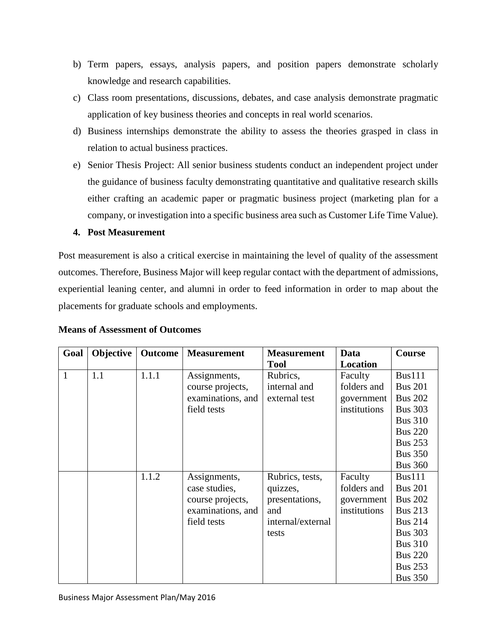- b) Term papers, essays, analysis papers, and position papers demonstrate scholarly knowledge and research capabilities.
- c) Class room presentations, discussions, debates, and case analysis demonstrate pragmatic application of key business theories and concepts in real world scenarios.
- d) Business internships demonstrate the ability to assess the theories grasped in class in relation to actual business practices.
- e) Senior Thesis Project: All senior business students conduct an independent project under the guidance of business faculty demonstrating quantitative and qualitative research skills either crafting an academic paper or pragmatic business project (marketing plan for a company, or investigation into a specific business area such as Customer Life Time Value).

# **4. Post Measurement**

Post measurement is also a critical exercise in maintaining the level of quality of the assessment outcomes. Therefore, Business Major will keep regular contact with the department of admissions, experiential leaning center, and alumni in order to feed information in order to map about the placements for graduate schools and employments.

| Goal         | Objective | <b>Outcome</b> | <b>Measurement</b> | <b>Measurement</b> | Data         | Course         |
|--------------|-----------|----------------|--------------------|--------------------|--------------|----------------|
|              |           |                |                    | <b>Tool</b>        | Location     |                |
| $\mathbf{1}$ | 1.1       | 1.1.1          | Assignments,       | Rubrics,           | Faculty      | Bus111         |
|              |           |                | course projects,   | internal and       | folders and  | <b>Bus 201</b> |
|              |           |                | examinations, and  | external test      | government   | <b>Bus 202</b> |
|              |           |                | field tests        |                    | institutions | <b>Bus 303</b> |
|              |           |                |                    |                    |              | <b>Bus 310</b> |
|              |           |                |                    |                    |              | <b>Bus 220</b> |
|              |           |                |                    |                    |              | <b>Bus 253</b> |
|              |           |                |                    |                    |              | <b>Bus 350</b> |
|              |           |                |                    |                    |              | <b>Bus 360</b> |
|              |           | 1.1.2          | Assignments,       | Rubrics, tests,    | Faculty      | Bus111         |
|              |           |                | case studies,      | quizzes,           | folders and  | <b>Bus 201</b> |
|              |           |                | course projects,   | presentations,     | government   | <b>Bus 202</b> |
|              |           |                | examinations, and  | and                | institutions | <b>Bus 213</b> |
|              |           |                | field tests        | internal/external  |              | <b>Bus 214</b> |
|              |           |                |                    | tests              |              | <b>Bus 303</b> |
|              |           |                |                    |                    |              | <b>Bus 310</b> |
|              |           |                |                    |                    |              | <b>Bus 220</b> |
|              |           |                |                    |                    |              | <b>Bus 253</b> |
|              |           |                |                    |                    |              | <b>Bus 350</b> |

## **Means of Assessment of Outcomes**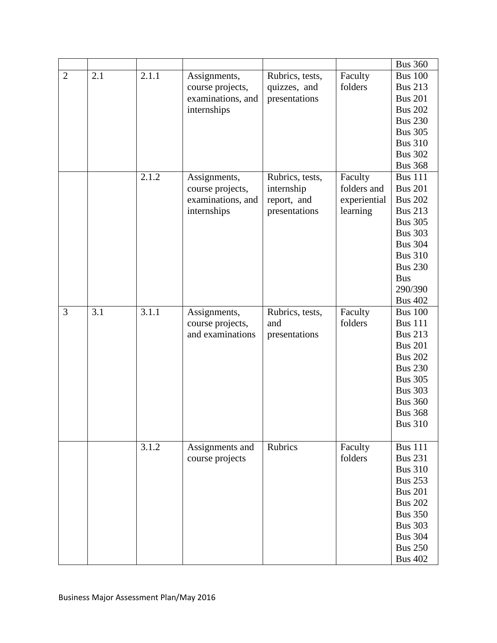|                |     |       |                   |                 |              | <b>Bus 360</b> |
|----------------|-----|-------|-------------------|-----------------|--------------|----------------|
|                |     |       |                   |                 |              |                |
| $\overline{2}$ | 2.1 | 2.1.1 | Assignments,      | Rubrics, tests, | Faculty      | <b>Bus 100</b> |
|                |     |       | course projects,  | quizzes, and    | folders      | <b>Bus 213</b> |
|                |     |       | examinations, and | presentations   |              | <b>Bus 201</b> |
|                |     |       | internships       |                 |              | <b>Bus 202</b> |
|                |     |       |                   |                 |              | <b>Bus 230</b> |
|                |     |       |                   |                 |              | <b>Bus 305</b> |
|                |     |       |                   |                 |              | <b>Bus 310</b> |
|                |     |       |                   |                 |              | <b>Bus 302</b> |
|                |     |       |                   |                 |              | <b>Bus 368</b> |
|                |     | 2.1.2 | Assignments,      | Rubrics, tests, | Faculty      | <b>Bus 111</b> |
|                |     |       | course projects,  | internship      | folders and  | <b>Bus 201</b> |
|                |     |       | examinations, and | report, and     | experiential | <b>Bus 202</b> |
|                |     |       | internships       | presentations   | learning     | <b>Bus 213</b> |
|                |     |       |                   |                 |              | <b>Bus 305</b> |
|                |     |       |                   |                 |              | <b>Bus 303</b> |
|                |     |       |                   |                 |              | <b>Bus 304</b> |
|                |     |       |                   |                 |              | <b>Bus 310</b> |
|                |     |       |                   |                 |              | <b>Bus 230</b> |
|                |     |       |                   |                 |              | <b>Bus</b>     |
|                |     |       |                   |                 |              | 290/390        |
|                |     |       |                   |                 |              | <b>Bus 402</b> |
| 3              | 3.1 | 3.1.1 | Assignments,      | Rubrics, tests, | Faculty      | <b>Bus 100</b> |
|                |     |       | course projects,  | and             | folders      | <b>Bus 111</b> |
|                |     |       | and examinations  | presentations   |              | <b>Bus 213</b> |
|                |     |       |                   |                 |              | <b>Bus 201</b> |
|                |     |       |                   |                 |              | <b>Bus 202</b> |
|                |     |       |                   |                 |              | <b>Bus 230</b> |
|                |     |       |                   |                 |              | <b>Bus 305</b> |
|                |     |       |                   |                 |              | <b>Bus 303</b> |
|                |     |       |                   |                 |              | <b>Bus 360</b> |
|                |     |       |                   |                 |              | <b>Bus 368</b> |
|                |     |       |                   |                 |              | <b>Bus 310</b> |
|                |     |       |                   |                 |              |                |
|                |     | 3.1.2 | Assignments and   | Rubrics         | Faculty      | <b>Bus 111</b> |
|                |     |       | course projects   |                 | folders      | <b>Bus 231</b> |
|                |     |       |                   |                 |              | <b>Bus 310</b> |
|                |     |       |                   |                 |              | <b>Bus 253</b> |
|                |     |       |                   |                 |              | <b>Bus 201</b> |
|                |     |       |                   |                 |              | <b>Bus 202</b> |
|                |     |       |                   |                 |              | <b>Bus 350</b> |
|                |     |       |                   |                 |              | <b>Bus 303</b> |
|                |     |       |                   |                 |              | <b>Bus 304</b> |
|                |     |       |                   |                 |              | <b>Bus 250</b> |
|                |     |       |                   |                 |              | <b>Bus 402</b> |
|                |     |       |                   |                 |              |                |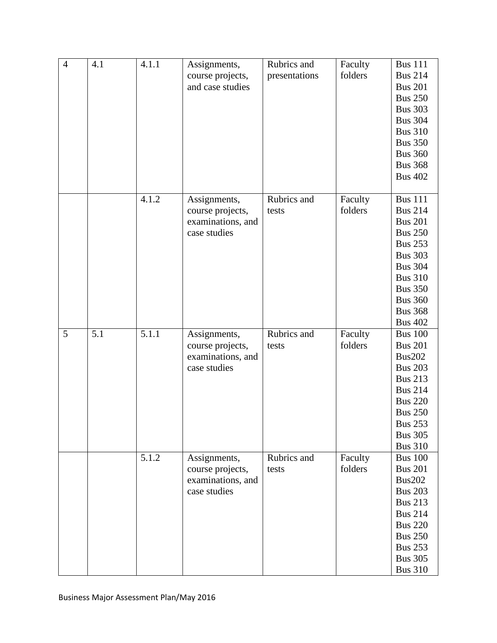| $\overline{4}$ |     | 4.1.1 |                   |               |         | <b>Bus 111</b> |
|----------------|-----|-------|-------------------|---------------|---------|----------------|
|                | 4.1 |       | Assignments,      | Rubrics and   | Faculty |                |
|                |     |       | course projects,  | presentations | folders | <b>Bus 214</b> |
|                |     |       | and case studies  |               |         | <b>Bus 201</b> |
|                |     |       |                   |               |         | <b>Bus 250</b> |
|                |     |       |                   |               |         | <b>Bus 303</b> |
|                |     |       |                   |               |         | <b>Bus 304</b> |
|                |     |       |                   |               |         | <b>Bus 310</b> |
|                |     |       |                   |               |         | <b>Bus 350</b> |
|                |     |       |                   |               |         | <b>Bus 360</b> |
|                |     |       |                   |               |         | <b>Bus 368</b> |
|                |     |       |                   |               |         | <b>Bus 402</b> |
|                |     |       |                   |               |         |                |
|                |     | 4.1.2 | Assignments,      | Rubrics and   | Faculty | <b>Bus 111</b> |
|                |     |       | course projects,  | tests         | folders | <b>Bus 214</b> |
|                |     |       | examinations, and |               |         | <b>Bus 201</b> |
|                |     |       | case studies      |               |         | <b>Bus 250</b> |
|                |     |       |                   |               |         | <b>Bus 253</b> |
|                |     |       |                   |               |         | <b>Bus 303</b> |
|                |     |       |                   |               |         | <b>Bus 304</b> |
|                |     |       |                   |               |         | <b>Bus 310</b> |
|                |     |       |                   |               |         | <b>Bus 350</b> |
|                |     |       |                   |               |         | <b>Bus 360</b> |
|                |     |       |                   |               |         | <b>Bus 368</b> |
|                |     |       |                   |               |         | <b>Bus 402</b> |
| 5              | 5.1 | 5.1.1 | Assignments,      | Rubrics and   | Faculty | <b>Bus 100</b> |
|                |     |       | course projects,  | tests         | folders | <b>Bus 201</b> |
|                |     |       | examinations, and |               |         | <b>Bus202</b>  |
|                |     |       | case studies      |               |         | <b>Bus 203</b> |
|                |     |       |                   |               |         | <b>Bus 213</b> |
|                |     |       |                   |               |         | <b>Bus 214</b> |
|                |     |       |                   |               |         |                |
|                |     |       |                   |               |         | <b>Bus 220</b> |
|                |     |       |                   |               |         | <b>Bus 250</b> |
|                |     |       |                   |               |         | <b>Bus 253</b> |
|                |     |       |                   |               |         | <b>Bus 305</b> |
|                |     |       |                   |               |         | <b>Bus 310</b> |
|                |     | 5.1.2 | Assignments,      | Rubrics and   | Faculty | <b>Bus 100</b> |
|                |     |       | course projects,  | tests         | folders | <b>Bus 201</b> |
|                |     |       | examinations, and |               |         | <b>Bus202</b>  |
|                |     |       | case studies      |               |         | <b>Bus 203</b> |
|                |     |       |                   |               |         | <b>Bus 213</b> |
|                |     |       |                   |               |         | <b>Bus 214</b> |
|                |     |       |                   |               |         | <b>Bus 220</b> |
|                |     |       |                   |               |         | <b>Bus 250</b> |
|                |     |       |                   |               |         | <b>Bus 253</b> |
|                |     |       |                   |               |         | <b>Bus 305</b> |
|                |     |       |                   |               |         | <b>Bus 310</b> |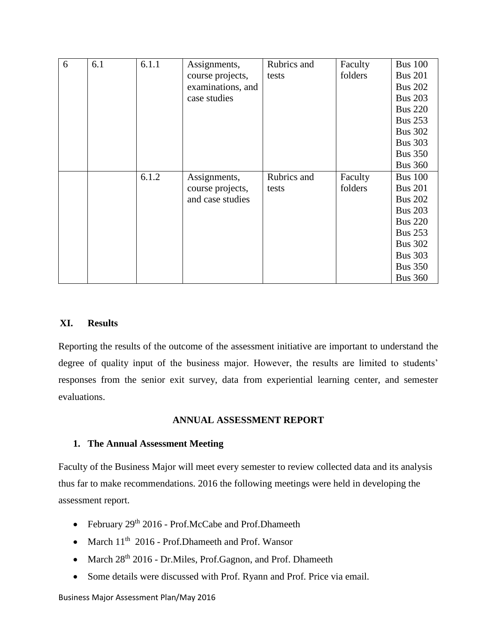| 6 | 6.1 | 6.1.1 | Assignments,      | Rubrics and | Faculty | <b>Bus 100</b> |
|---|-----|-------|-------------------|-------------|---------|----------------|
|   |     |       | course projects,  | tests       | folders | <b>Bus 201</b> |
|   |     |       | examinations, and |             |         | <b>Bus 202</b> |
|   |     |       | case studies      |             |         | <b>Bus 203</b> |
|   |     |       |                   |             |         | <b>Bus 220</b> |
|   |     |       |                   |             |         | <b>Bus 253</b> |
|   |     |       |                   |             |         | <b>Bus 302</b> |
|   |     |       |                   |             |         | <b>Bus 303</b> |
|   |     |       |                   |             |         | <b>Bus 350</b> |
|   |     |       |                   |             |         | <b>Bus 360</b> |
|   |     | 6.1.2 | Assignments,      | Rubrics and | Faculty | <b>Bus 100</b> |
|   |     |       | course projects,  | tests       | folders | <b>Bus 201</b> |
|   |     |       | and case studies  |             |         | <b>Bus 202</b> |
|   |     |       |                   |             |         | <b>Bus 203</b> |
|   |     |       |                   |             |         | <b>Bus 220</b> |
|   |     |       |                   |             |         | <b>Bus 253</b> |
|   |     |       |                   |             |         | <b>Bus 302</b> |
|   |     |       |                   |             |         | <b>Bus 303</b> |
|   |     |       |                   |             |         | <b>Bus 350</b> |
|   |     |       |                   |             |         | <b>Bus 360</b> |

## **XI. Results**

Reporting the results of the outcome of the assessment initiative are important to understand the degree of quality input of the business major. However, the results are limited to students' responses from the senior exit survey, data from experiential learning center, and semester evaluations.

# **ANNUAL ASSESSMENT REPORT**

# **1. The Annual Assessment Meeting**

Faculty of the Business Major will meet every semester to review collected data and its analysis thus far to make recommendations. 2016 the following meetings were held in developing the assessment report.

- February 29<sup>th</sup> 2016 Prof.McCabe and Prof.Dhameeth
- March  $11<sup>th</sup>$  2016 Prof. Dhameeth and Prof. Wansor
- March  $28<sup>th</sup>$  2016 Dr. Miles, Prof. Gagnon, and Prof. Dhameeth
- Some details were discussed with Prof. Ryann and Prof. Price via email.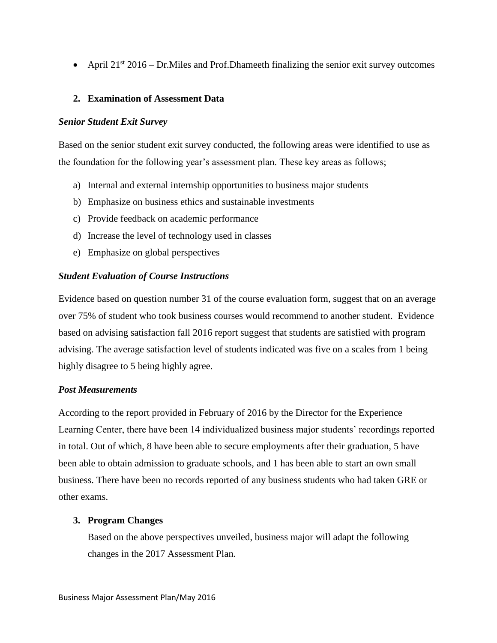• April  $21^{st}$  2016 – Dr. Miles and Prof. Dhameeth finalizing the senior exit survey outcomes

# **2. Examination of Assessment Data**

#### *Senior Student Exit Survey*

Based on the senior student exit survey conducted, the following areas were identified to use as the foundation for the following year's assessment plan. These key areas as follows;

- a) Internal and external internship opportunities to business major students
- b) Emphasize on business ethics and sustainable investments
- c) Provide feedback on academic performance
- d) Increase the level of technology used in classes
- e) Emphasize on global perspectives

## *Student Evaluation of Course Instructions*

Evidence based on question number 31 of the course evaluation form, suggest that on an average over 75% of student who took business courses would recommend to another student. Evidence based on advising satisfaction fall 2016 report suggest that students are satisfied with program advising. The average satisfaction level of students indicated was five on a scales from 1 being highly disagree to 5 being highly agree.

## *Post Measurements*

According to the report provided in February of 2016 by the Director for the Experience Learning Center, there have been 14 individualized business major students' recordings reported in total. Out of which, 8 have been able to secure employments after their graduation, 5 have been able to obtain admission to graduate schools, and 1 has been able to start an own small business. There have been no records reported of any business students who had taken GRE or other exams.

## **3. Program Changes**

Based on the above perspectives unveiled, business major will adapt the following changes in the 2017 Assessment Plan.